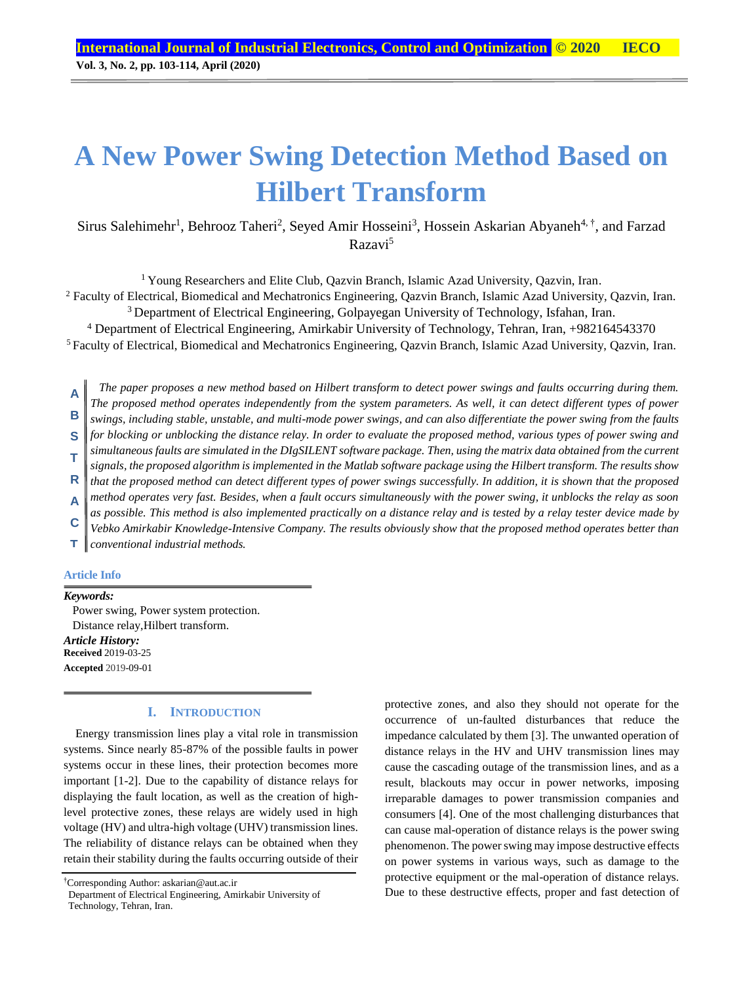# **A New Power Swing Detection Method Based on Hilbert Transform**

Sirus Salehimehr<sup>1</sup>, Behrooz Taheri<sup>2</sup>, Seyed Amir Hosseini<sup>3</sup>, Hossein Askarian Abyaneh<sup>4, †</sup>, and Farzad Razavi<sup>5</sup>

<sup>1</sup> Young Researchers and Elite Club, Oazvin Branch, Islamic Azad University, Oazvin, Iran.

<sup>2</sup> Faculty of Electrical, Biomedical and Mechatronics Engineering, Qazvin Branch, Islamic Azad University, Qazvin, Iran.

<sup>3</sup> Department of Electrical Engineering, Golpayegan University of Technology, Isfahan, Iran.

<sup>4</sup> Department of Electrical Engineering, Amirkabir University of Technology, Tehran, Iran, +982164543370

<sup>5</sup> Faculty of Electrical, Biomedical and Mechatronics Engineering, Qazvin Branch, Islamic Azad University, Qazvin, Iran.

*The paper proposes a new method based on Hilbert transform to detect power swings and faults occurring during them. The proposed method operates independently from the system parameters. As well, it can detect different types of power swings, including stable, unstable, and multi-mode power swings, and can also differentiate the power swing from the faults*  **A B**

*for blocking or unblocking the distance relay. In order to evaluate the proposed method, various types of power swing and*  **S**

*simultaneous faults are simulated in the DIgSILENT software package. Then, using the matrix data obtained from the current* 

*signals, the proposed algorithm is implemented in the Matlab software package using the Hilbert transform. The results show*  **T**

*that the proposed method can detect different types of power swings successfully. In addition, it is shown that the proposed*  **R**

*method operates very fast. Besides, when a fault occurs simultaneously with the power swing, it unblocks the relay as soon*  **A**

*as possible. This method is also implemented practically on a distance relay and is tested by a relay tester device made by*  **C**

*Vebko Amirkabir Knowledge-Intensive Company. The results obviously show that the proposed method operates better than* 

*conventional industrial methods.* **T**

#### **Article Info**

*Keywords:* Power swing, Power system protection. Distance relay,Hilbert transform. *Article History:* **Received** 2019-03-25

**Accepted** 2019-09-01

## **I. INTRODUCTION**

Energy transmission lines play a vital role in transmission systems. Since nearly 85-87% of the possible faults in power systems occur in these lines, their protection becomes more important [1-2]. Due to the capability of distance relays for displaying the fault location, as well as the creation of highlevel protective zones, these relays are widely used in high voltage (HV) and ultra-high voltage (UHV) transmission lines. The reliability of distance relays can be obtained when they retain their stability during the faults occurring outside of their

†Corresponding Author: askarian@aut.ac.ir

protective zones, and also they should not operate for the occurrence of un-faulted disturbances that reduce the impedance calculated by them [3]. The unwanted operation of distance relays in the HV and UHV transmission lines may cause the cascading outage of the transmission lines, and as a result, blackouts may occur in power networks, imposing irreparable damages to power transmission companies and consumers [4]. One of the most challenging disturbances that can cause mal-operation of distance relays is the power swing phenomenon. The power swing may impose destructive effects on power systems in various ways, such as damage to the protective equipment or the mal-operation of distance relays. Due to these destructive effects, proper and fast detection of

Department of Electrical Engineering, Amirkabir University of Technology, Tehran, Iran.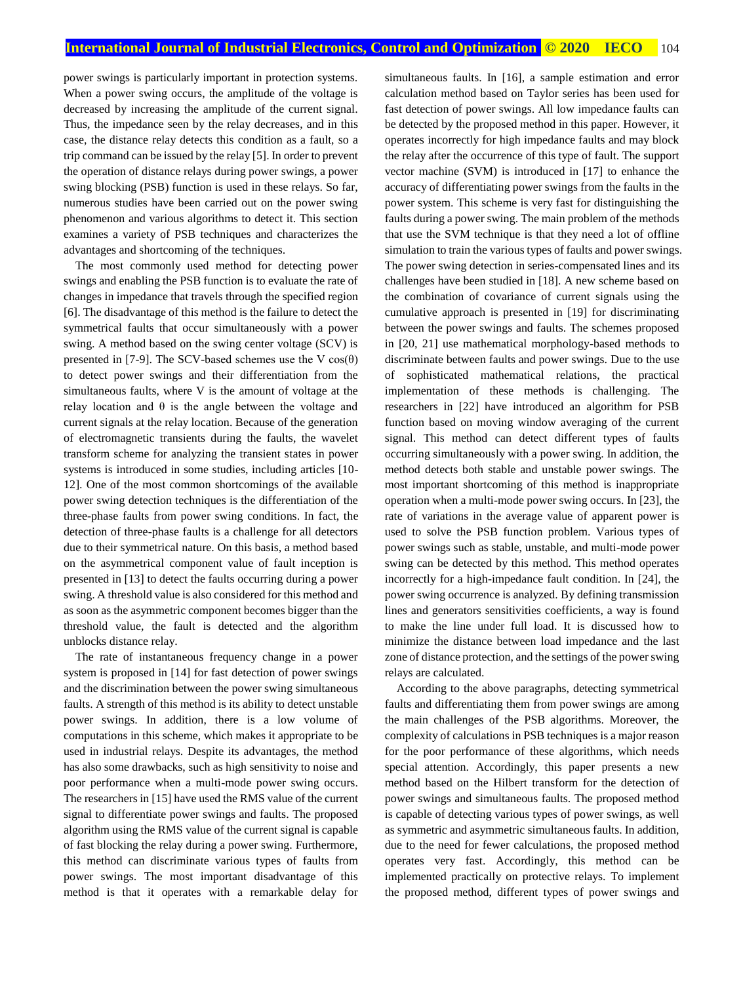power swings is particularly important in protection systems. When a power swing occurs, the amplitude of the voltage is decreased by increasing the amplitude of the current signal. Thus, the impedance seen by the relay decreases, and in this case, the distance relay detects this condition as a fault, so a trip command can be issued by the relay [5]. In order to prevent the operation of distance relays during power swings, a power swing blocking (PSB) function is used in these relays. So far, numerous studies have been carried out on the power swing phenomenon and various algorithms to detect it. This section examines a variety of PSB techniques and characterizes the advantages and shortcoming of the techniques.

The most commonly used method for detecting power swings and enabling the PSB function is to evaluate the rate of changes in impedance that travels through the specified region [6]. The disadvantage of this method is the failure to detect the symmetrical faults that occur simultaneously with a power swing. A method based on the swing center voltage (SCV) is presented in [7-9]. The SCV-based schemes use the V  $cos(\theta)$ to detect power swings and their differentiation from the simultaneous faults, where V is the amount of voltage at the relay location and  $θ$  is the angle between the voltage and current signals at the relay location. Because of the generation of electromagnetic transients during the faults, the wavelet transform scheme for analyzing the transient states in power systems is introduced in some studies, including articles [10- 12]. One of the most common shortcomings of the available power swing detection techniques is the differentiation of the three-phase faults from power swing conditions. In fact, the detection of three-phase faults is a challenge for all detectors due to their symmetrical nature. On this basis, a method based on the asymmetrical component value of fault inception is presented in [13] to detect the faults occurring during a power swing. A threshold value is also considered for this method and as soon as the asymmetric component becomes bigger than the threshold value, the fault is detected and the algorithm unblocks distance relay.

The rate of instantaneous frequency change in a power system is proposed in [14] for fast detection of power swings and the discrimination between the power swing simultaneous faults. A strength of this method is its ability to detect unstable power swings. In addition, there is a low volume of computations in this scheme, which makes it appropriate to be used in industrial relays. Despite its advantages, the method has also some drawbacks, such as high sensitivity to noise and poor performance when a multi-mode power swing occurs. The researchers in [15] have used the RMS value of the current signal to differentiate power swings and faults. The proposed algorithm using the RMS value of the current signal is capable of fast blocking the relay during a power swing. Furthermore, this method can discriminate various types of faults from power swings. The most important disadvantage of this method is that it operates with a remarkable delay for simultaneous faults. In [16], a sample estimation and error calculation method based on Taylor series has been used for fast detection of power swings. All low impedance faults can be detected by the proposed method in this paper. However, it operates incorrectly for high impedance faults and may block the relay after the occurrence of this type of fault. The support vector machine (SVM) is introduced in [17] to enhance the accuracy of differentiating power swings from the faults in the power system. This scheme is very fast for distinguishing the faults during a power swing. The main problem of the methods that use the SVM technique is that they need a lot of offline simulation to train the various types of faults and power swings. The power swing detection in series-compensated lines and its challenges have been studied in [18]. A new scheme based on the combination of covariance of current signals using the cumulative approach is presented in [19] for discriminating between the power swings and faults. The schemes proposed in [20, 21] use mathematical morphology-based methods to discriminate between faults and power swings. Due to the use of sophisticated mathematical relations, the practical implementation of these methods is challenging. The researchers in [22] have introduced an algorithm for PSB function based on moving window averaging of the current signal. This method can detect different types of faults occurring simultaneously with a power swing. In addition, the method detects both stable and unstable power swings. The most important shortcoming of this method is inappropriate operation when a multi-mode power swing occurs. In [23], the rate of variations in the average value of apparent power is used to solve the PSB function problem. Various types of power swings such as stable, unstable, and multi-mode power swing can be detected by this method. This method operates incorrectly for a high-impedance fault condition. In [24], the power swing occurrence is analyzed. By defining transmission lines and generators sensitivities coefficients, a way is found to make the line under full load. It is discussed how to minimize the distance between load impedance and the last zone of distance protection, and the settings of the power swing relays are calculated.

According to the above paragraphs, detecting symmetrical faults and differentiating them from power swings are among the main challenges of the PSB algorithms. Moreover, the complexity of calculations in PSB techniques is a major reason for the poor performance of these algorithms, which needs special attention. Accordingly, this paper presents a new method based on the Hilbert transform for the detection of power swings and simultaneous faults. The proposed method is capable of detecting various types of power swings, as well as symmetric and asymmetric simultaneous faults. In addition, due to the need for fewer calculations, the proposed method operates very fast. Accordingly, this method can be implemented practically on protective relays. To implement the proposed method, different types of power swings and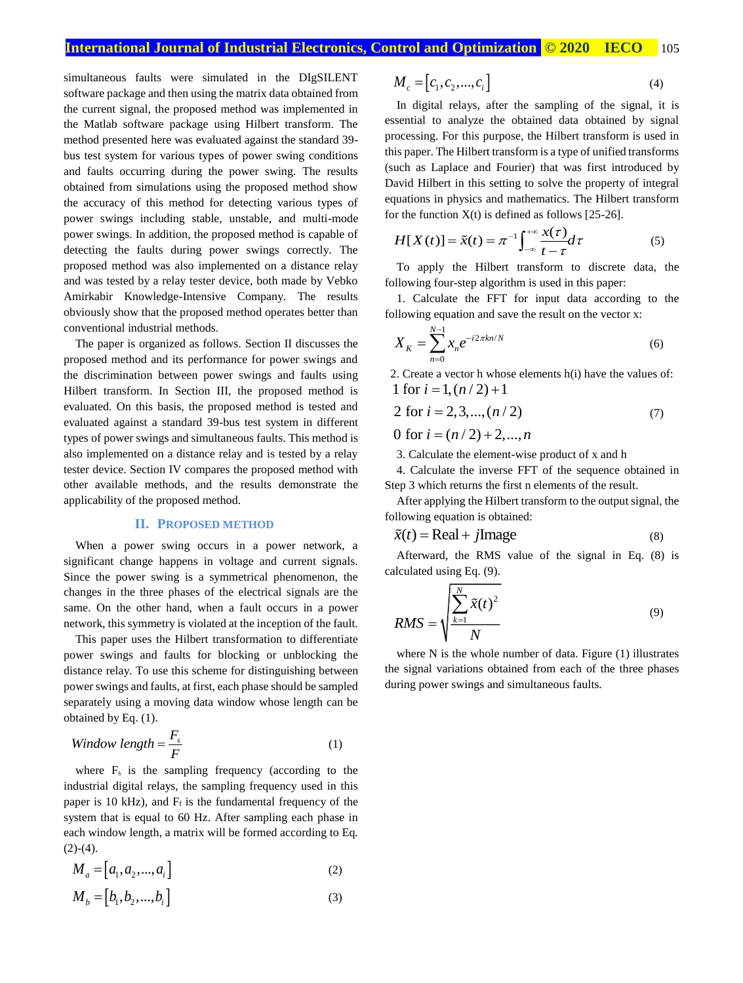# **International Journal of Industrial Electronics, Control and Optimization © 2020 IECO** 105

simultaneous faults were simulated in the DIgSILENT software package and then using the matrix data obtained from the current signal, the proposed method was implemented in the Matlab software package using Hilbert transform. The method presented here was evaluated against the standard 39 bus test system for various types of power swing conditions and faults occurring during the power swing. The results obtained from simulations using the proposed method show the accuracy of this method for detecting various types of power swings including stable, unstable, and multi-mode power swings. In addition, the proposed method is capable of detecting the faults during power swings correctly. The proposed method was also implemented on a distance relay and was tested by a relay tester device, both made by Vebko Amirkabir Knowledge-Intensive Company. The results obviously show that the proposed method operates better than conventional industrial methods.

The paper is organized as follows. Section II discusses the proposed method and its performance for power swings and the discrimination between power swings and faults using Hilbert transform. In Section III, the proposed method is evaluated. On this basis, the proposed method is tested and evaluated against a standard 39-bus test system in different types of power swings and simultaneous faults. This method is also implemented on a distance relay and is tested by a relay tester device. Section IV compares the proposed method with other available methods, and the results demonstrate the applicability of the proposed method.

#### **II. PROPOSED METHOD**

When a power swing occurs in a power network, a significant change happens in voltage and current signals. Since the power swing is a symmetrical phenomenon, the changes in the three phases of the electrical signals are the same. On the other hand, when a fault occurs in a power network, this symmetry is violated at the inception of the fault.

This paper uses the Hilbert transformation to differentiate power swings and faults for blocking or unblocking the distance relay. To use this scheme for distinguishing between power swings and faults, at first, each phase should be sampled separately using a moving data window whose length can be obtained by Eq. (1).

$$
Window length = \frac{F_s}{F}
$$
 (1)

where  $F_s$  is the sampling frequency (according to the industrial digital relays, the sampling frequency used in this paper is 10 kHz), and  $F_f$  is the fundamental frequency of the system that is equal to 60 Hz. After sampling each phase in each window length, a matrix will be formed according to Eq.  $(2)-(4)$ .

$$
M_a = [a_1, a_2, \dots, a_i]
$$
 (2)

$$
M_b = [b_1, b_2, \dots, b_i]
$$
 (3)

$$
M_c = [c_1, c_2, \dots, c_i]
$$
\n<sup>(4)</sup>

In digital relays, after the sampling of the signal, it is essential to analyze the obtained data obtained by signal processing. For this purpose, the Hilbert transform is used in this paper. The Hilbert transform is a type of unified transforms (such as Laplace and Fourier) that was first introduced by David Hilbert in this setting to solve the property of integral equations in physics and mathematics. The Hilbert transform for the function  $X(t)$  is defined as follows [25-26].

$$
H[X(t)] = \tilde{x}(t) = \pi^{-1} \int_{-\infty}^{+\infty} \frac{x(\tau)}{t - \tau} d\tau
$$
 (5)

To apply the Hilbert transform to discrete data, the following four-step algorithm is used in this paper:

1. Calculate the FFT for input data according to the following equation and save the result on the vector x:

$$
X_K = \sum_{n=0}^{N-1} x_n e^{-i2\pi kn/N}
$$
 (6)

2. Create a vector h whose elements h(i) have the values of: 1 for  $i = 1, (n/2) + 1$ 

$$
2 \text{ for } i = 2, 3, \dots, (n/2) \tag{7}
$$

0 for  $i = (n/2) + 2, ..., n$ 

3. Calculate the element-wise product of x and h

4. Calculate the inverse FFT of the sequence obtained in Step 3 which returns the first n elements of the result.

After applying the Hilbert transform to the output signal, the following equation is obtained:

$$
\tilde{x}(t) = \text{Real} + j\text{Image} \tag{8}
$$

Afterward, the RMS value of the signal in Eq. (8) is calculated using Eq. (9).

$$
RMS = \sqrt{\frac{\sum_{k=1}^{N} \tilde{x}(t)^2}{N}}
$$
\n(9)

where N is the whole number of data. Figure (1) illustrates the signal variations obtained from each of the three phases during power swings and simultaneous faults.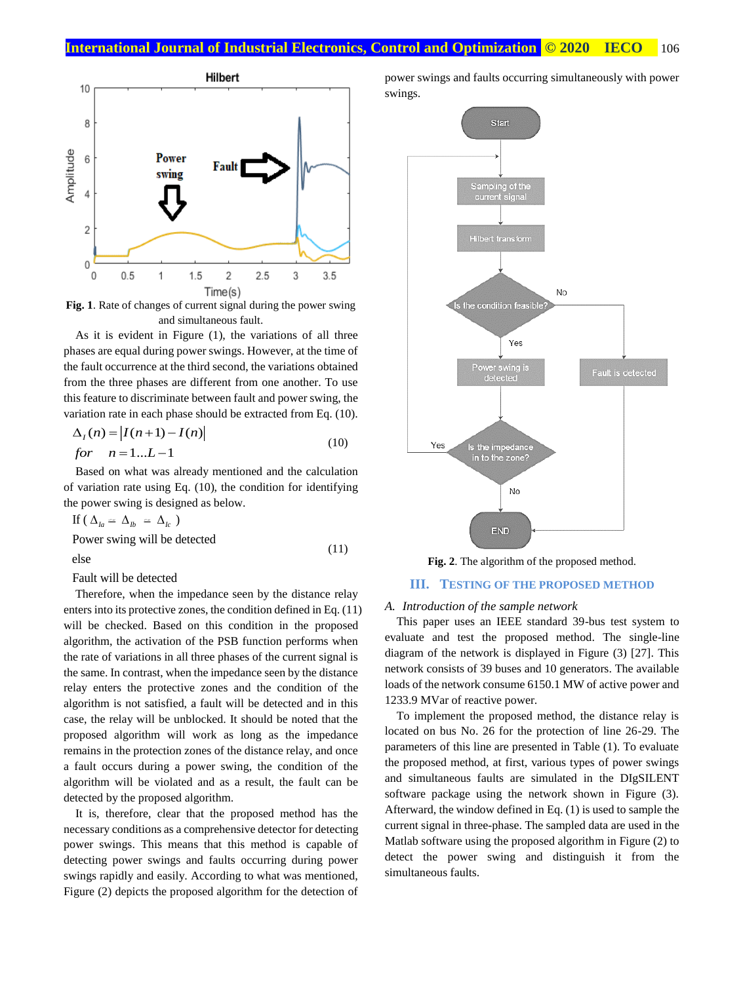

**Fig. 1**. Rate of changes of current signal during the power swing and simultaneous fault.

As it is evident in Figure (1), the variations of all three phases are equal during power swings. However, at the time of the fault occurrence at the third second, the variations obtained from the three phases are different from one another. To use this feature to discriminate between fault and power swing, the variation rate in each phase should be extracted from Eq. (10).

$$
\Delta_I(n) = |I(n+1) - I(n)|
$$
  
for  $n = 1...L-1$  (10)

Based on what was already mentioned and the calculation of variation rate using Eq. (10), the condition for identifying the power swing is designed as below.

If 
$$
(\Delta_{la} \simeq \Delta_{Ib} \simeq \Delta_{Ic})
$$
  
Power swing will be detected (11)

else

Fault will be detected

Therefore, when the impedance seen by the distance relay enters into its protective zones, the condition defined in Eq. (11) will be checked. Based on this condition in the proposed algorithm, the activation of the PSB function performs when the rate of variations in all three phases of the current signal is the same. In contrast, when the impedance seen by the distance relay enters the protective zones and the condition of the algorithm is not satisfied, a fault will be detected and in this case, the relay will be unblocked. It should be noted that the proposed algorithm will work as long as the impedance remains in the protection zones of the distance relay, and once a fault occurs during a power swing, the condition of the algorithm will be violated and as a result, the fault can be detected by the proposed algorithm.

It is, therefore, clear that the proposed method has the necessary conditions as a comprehensive detector for detecting power swings. This means that this method is capable of detecting power swings and faults occurring during power swings rapidly and easily. According to what was mentioned, Figure (2) depicts the proposed algorithm for the detection of

power swings and faults occurring simultaneously with power swings.



**Fig. 2**. The algorithm of the proposed method.

#### **III. TESTING OF THE PROPOSED METHOD**

#### *A. Introduction of the sample network*

This paper uses an IEEE standard 39-bus test system to evaluate and test the proposed method. The single-line diagram of the network is displayed in Figure (3) [27]. This network consists of 39 buses and 10 generators. The available loads of the network consume 6150.1 MW of active power and 1233.9 MVar of reactive power.

To implement the proposed method, the distance relay is located on bus No. 26 for the protection of line 26-29. The parameters of this line are presented in Table (1). To evaluate the proposed method, at first, various types of power swings and simultaneous faults are simulated in the DIgSILENT software package using the network shown in Figure (3). Afterward, the window defined in Eq. (1) is used to sample the current signal in three-phase. The sampled data are used in the Matlab software using the proposed algorithm in Figure (2) to detect the power swing and distinguish it from the simultaneous faults.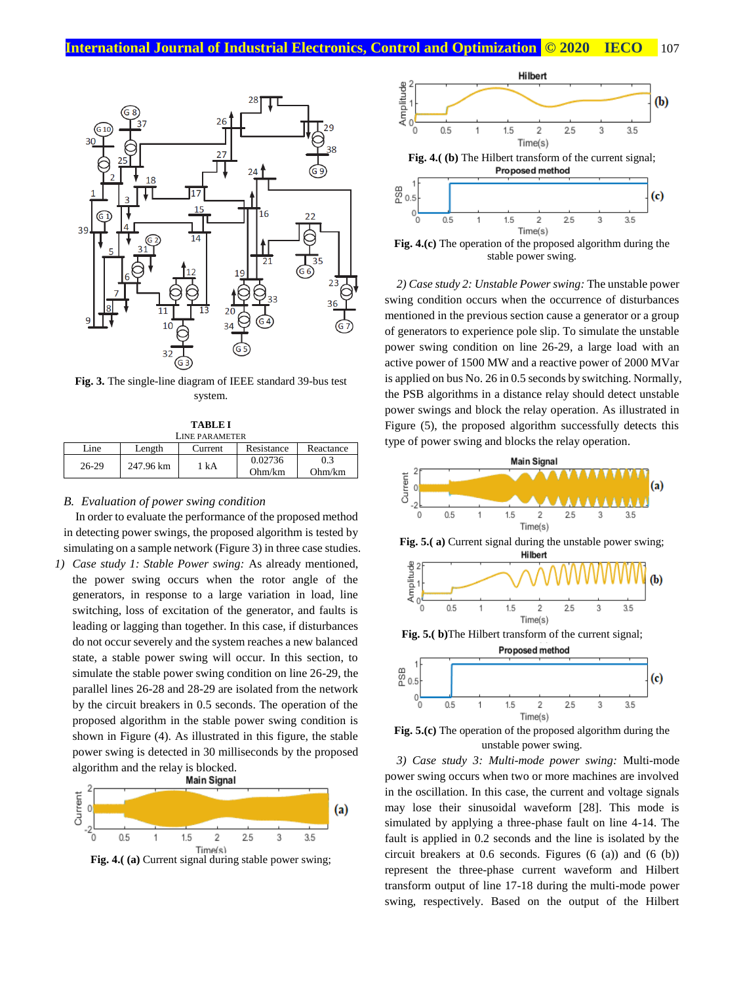

**Fig. 3.** The single-line diagram of IEEE standard 39-bus test system.

| <b>TABLE I</b>        |           |         |            |           |
|-----------------------|-----------|---------|------------|-----------|
| <b>LINE PARAMETER</b> |           |         |            |           |
| Line                  | Length    | Current | Resistance | Reactance |
| $26-29$               | 247.96 km | 1 k A   | 0.02736    | 03        |
|                       |           |         | Ohm/km     | Ohm/km    |

#### *B. Evaluation of power swing condition*

In order to evaluate the performance of the proposed method in detecting power swings, the proposed algorithm is tested by simulating on a sample network (Figure 3) in three case studies.

*1) Case study 1: Stable Power swing:* As already mentioned, the power swing occurs when the rotor angle of the generators, in response to a large variation in load, line switching, loss of excitation of the generator, and faults is leading or lagging than together. In this case, if disturbances do not occur severely and the system reaches a new balanced state, a stable power swing will occur. In this section, to simulate the stable power swing condition on line 26-29, the parallel lines 26-28 and 28-29 are isolated from the network by the circuit breakers in 0.5 seconds. The operation of the proposed algorithm in the stable power swing condition is shown in Figure (4). As illustrated in this figure, the stable power swing is detected in 30 milliseconds by the proposed algorithm and the relay is blocked.







*2) Case study 2: Unstable Power swing:* The unstable power

swing condition occurs when the occurrence of disturbances mentioned in the previous section cause a generator or a group of generators to experience pole slip. To simulate the unstable power swing condition on line 26-29, a large load with an active power of 1500 MW and a reactive power of 2000 MVar is applied on bus No. 26 in 0.5 seconds by switching. Normally, the PSB algorithms in a distance relay should detect unstable power swings and block the relay operation. As illustrated in Figure (5), the proposed algorithm successfully detects this type of power swing and blocks the relay operation.



**Fig. 5.(c)** The operation of the proposed algorithm during the unstable power swing.

*3) Case study 3: Multi-mode power swing:* Multi-mode power swing occurs when two or more machines are involved in the oscillation. In this case, the current and voltage signals may lose their sinusoidal waveform [28]. This mode is simulated by applying a three-phase fault on line 4-14. The fault is applied in 0.2 seconds and the line is isolated by the circuit breakers at 0.6 seconds. Figures (6 (a)) and (6 (b)) represent the three-phase current waveform and Hilbert transform output of line 17-18 during the multi-mode power swing, respectively. Based on the output of the Hilbert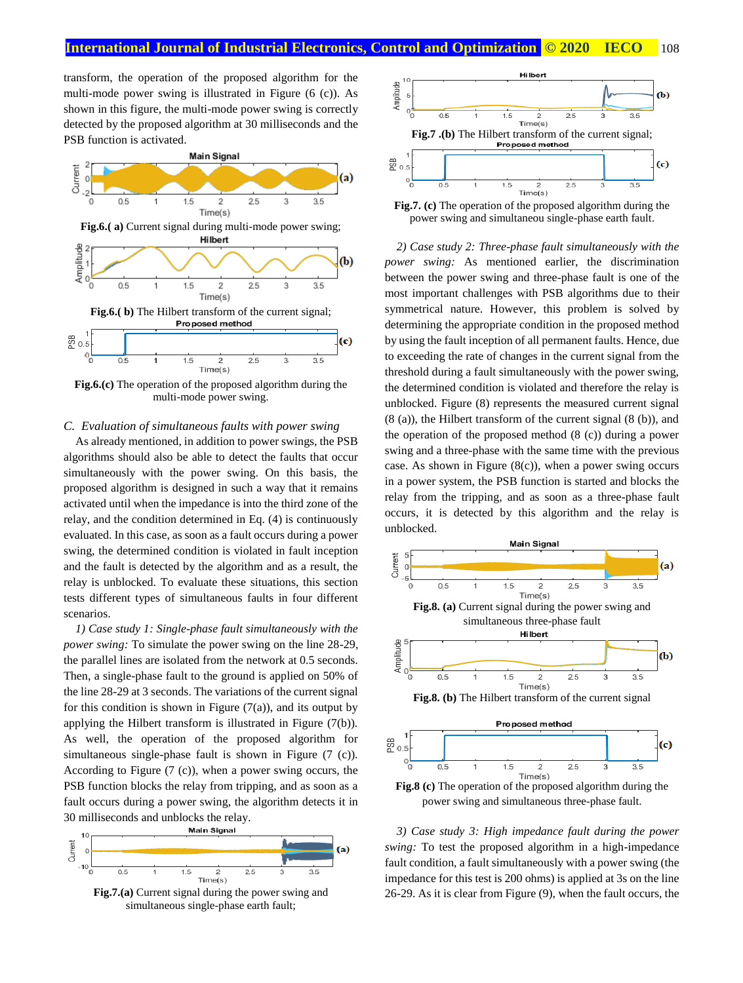transform, the operation of the proposed algorithm for the multi-mode power swing is illustrated in Figure (6 (c)). As shown in this figure, the multi-mode power swing is correctly detected by the proposed algorithm at 30 milliseconds and the PSB function is activated.



**Fig.6.(c)** The operation of the proposed algorithm during the multi-mode power swing.

#### *C. Evaluation of simultaneous faults with power swing*

As already mentioned, in addition to power swings, the PSB algorithms should also be able to detect the faults that occur simultaneously with the power swing. On this basis, the proposed algorithm is designed in such a way that it remains activated until when the impedance is into the third zone of the relay, and the condition determined in Eq. (4) is continuously evaluated. In this case, as soon as a fault occurs during a power swing, the determined condition is violated in fault inception and the fault is detected by the algorithm and as a result, the relay is unblocked. To evaluate these situations, this section tests different types of simultaneous faults in four different scenarios.

*1) Case study 1: Single-phase fault simultaneously with the power swing:* To simulate the power swing on the line 28-29, the parallel lines are isolated from the network at 0.5 seconds. Then, a single-phase fault to the ground is applied on 50% of the line 28-29 at 3 seconds. The variations of the current signal for this condition is shown in Figure  $(7(a))$ , and its output by applying the Hilbert transform is illustrated in Figure (7(b)). As well, the operation of the proposed algorithm for simultaneous single-phase fault is shown in Figure (7 (c)). According to Figure (7 (c)), when a power swing occurs, the PSB function blocks the relay from tripping, and as soon as a fault occurs during a power swing, the algorithm detects it in



simultaneous single-phase earth fault;



power swing and simultaneou single-phase earth fault.

*2) Case study 2: Three-phase fault simultaneously with the power swing:* As mentioned earlier, the discrimination between the power swing and three-phase fault is one of the most important challenges with PSB algorithms due to their symmetrical nature. However, this problem is solved by determining the appropriate condition in the proposed method by using the fault inception of all permanent faults. Hence, due to exceeding the rate of changes in the current signal from the threshold during a fault simultaneously with the power swing, the determined condition is violated and therefore the relay is unblocked. Figure (8) represents the measured current signal (8 (a)), the Hilbert transform of the current signal (8 (b)), and the operation of the proposed method (8 (c)) during a power swing and a three-phase with the same time with the previous case. As shown in Figure  $(8(c))$ , when a power swing occurs in a power system, the PSB function is started and blocks the relay from the tripping, and as soon as a three-phase fault occurs, it is detected by this algorithm and the relay is unblocked.



*3) Case study 3: High impedance fault during the power swing:* To test the proposed algorithm in a high-impedance fault condition, a fault simultaneously with a power swing (the impedance for this test is 200 ohms) is applied at 3s on the line 26-29. As it is clear from Figure (9), when the fault occurs, the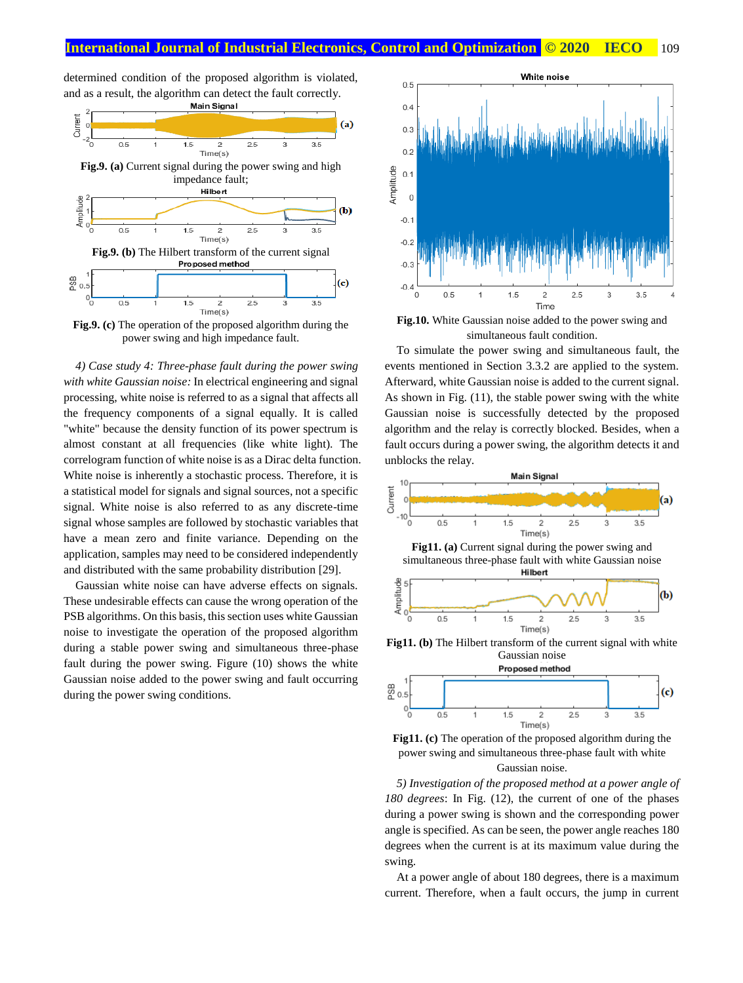determined condition of the proposed algorithm is violated, and as a result, the algorithm can detect the fault correctly.<br> **Main Signal** 



**Fig.9. (c)** The operation of the proposed algorithm during the power swing and high impedance fault.

*4) Case study 4: Three-phase fault during the power swing with white Gaussian noise:* In electrical engineering and signal processing, white noise is referred to as a signal that affects all the frequency components of a signal equally. It is called "white" because the density function of its power spectrum is almost constant at all frequencies (like white light). The correlogram function of white noise is as a Dirac delta function. White noise is inherently a stochastic process. Therefore, it is a statistical model for signals and signal sources, not a specific signal. White noise is also referred to as any discrete-time signal whose samples are followed by stochastic variables that have a mean zero and finite variance. Depending on the application, samples may need to be considered independently and distributed with the same probability distribution [29].

Gaussian white noise can have adverse effects on signals. These undesirable effects can cause the wrong operation of the PSB algorithms. On this basis, this section uses white Gaussian noise to investigate the operation of the proposed algorithm during a stable power swing and simultaneous three-phase fault during the power swing. Figure (10) shows the white Gaussian noise added to the power swing and fault occurring during the power swing conditions.



**Fig.10.** White Gaussian noise added to the power swing and simultaneous fault condition.

To simulate the power swing and simultaneous fault, the events mentioned in Section 3.3.2 are applied to the system. Afterward, white Gaussian noise is added to the current signal. As shown in Fig. (11), the stable power swing with the white Gaussian noise is successfully detected by the proposed algorithm and the relay is correctly blocked. Besides, when a fault occurs during a power swing, the algorithm detects it and unblocks the relay.







*5) Investigation of the proposed method at a power angle of 180 degrees*: In Fig. (12), the current of one of the phases during a power swing is shown and the corresponding power angle is specified. As can be seen, the power angle reaches 180 degrees when the current is at its maximum value during the swing.

At a power angle of about 180 degrees, there is a maximum current. Therefore, when a fault occurs, the jump in current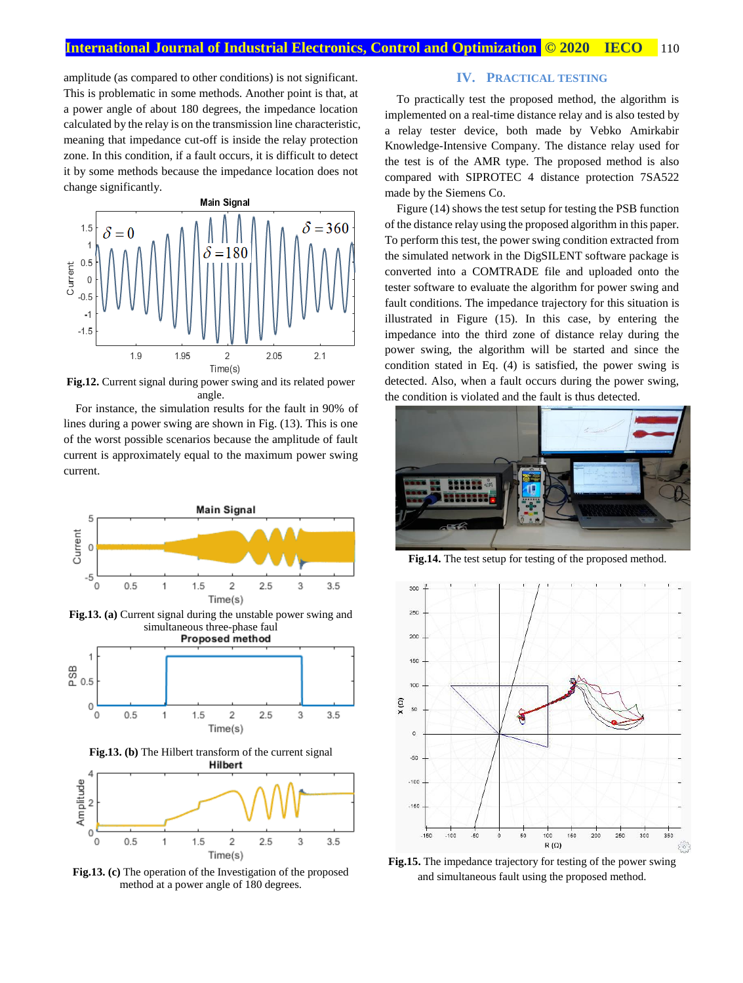amplitude (as compared to other conditions) is not significant. This is problematic in some methods. Another point is that, at a power angle of about 180 degrees, the impedance location calculated by the relay is on the transmission line characteristic, meaning that impedance cut-off is inside the relay protection zone. In this condition, if a fault occurs, it is difficult to detect it by some methods because the impedance location does not change significantly.



**Fig.12.** Current signal during power swing and its related power angle.

For instance, the simulation results for the fault in 90% of lines during a power swing are shown in Fig. (13). This is one of the worst possible scenarios because the amplitude of fault current is approximately equal to the maximum power swing current.



**Fig.13. (c)** The operation of the Investigation of the proposed method at a power angle of 180 degrees.

## **IV. PRACTICAL TESTING**

To practically test the proposed method, the algorithm is implemented on a real-time distance relay and is also tested by a relay tester device, both made by Vebko Amirkabir Knowledge-Intensive Company. The distance relay used for the test is of the AMR type. The proposed method is also compared with SIPROTEC 4 distance protection 7SA522 made by the Siemens Co.

Figure (14) shows the test setup for testing the PSB function of the distance relay using the proposed algorithm in this paper. To perform this test, the power swing condition extracted from the simulated network in the DigSILENT software package is converted into a COMTRADE file and uploaded onto the tester software to evaluate the algorithm for power swing and fault conditions. The impedance trajectory for this situation is illustrated in Figure (15). In this case, by entering the impedance into the third zone of distance relay during the power swing, the algorithm will be started and since the condition stated in Eq. (4) is satisfied, the power swing is detected. Also, when a fault occurs during the power swing, the condition is violated and the fault is thus detected.



**Fig.14.** The test setup for testing of the proposed method.



**Fig.15.** The impedance trajectory for testing of the power swing and simultaneous fault using the proposed method.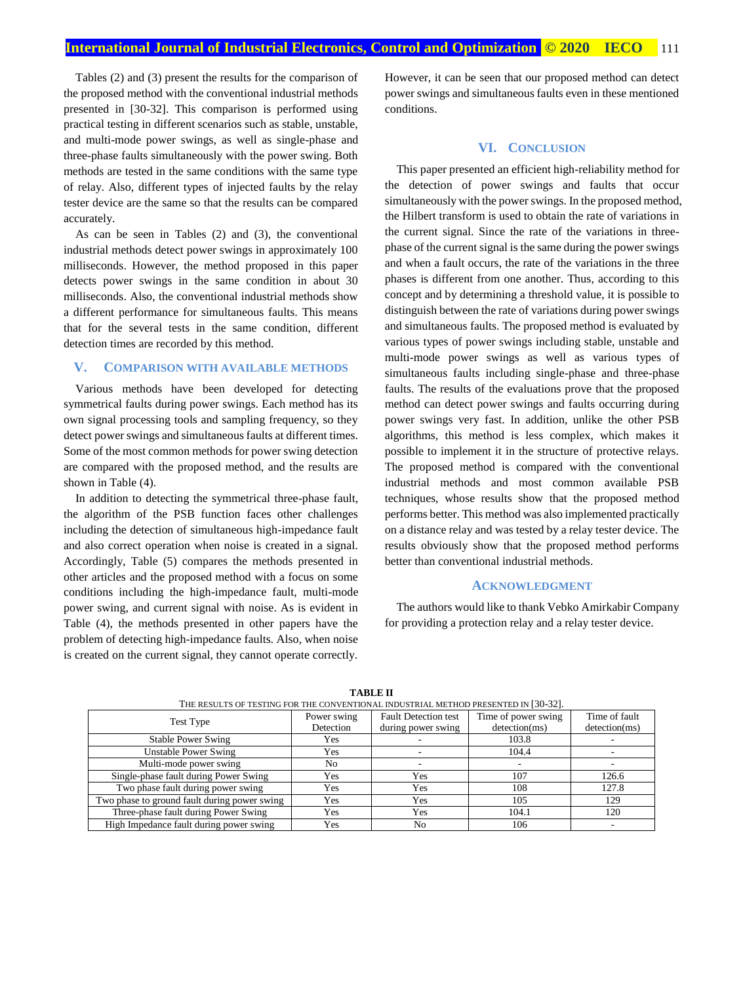Tables (2) and (3) present the results for the comparison of the proposed method with the conventional industrial methods presented in [30-32]. This comparison is performed using practical testing in different scenarios such as stable, unstable, and multi-mode power swings, as well as single-phase and three-phase faults simultaneously with the power swing. Both methods are tested in the same conditions with the same type of relay. Also, different types of injected faults by the relay tester device are the same so that the results can be compared accurately.

As can be seen in Tables (2) and (3), the conventional industrial methods detect power swings in approximately 100 milliseconds. However, the method proposed in this paper detects power swings in the same condition in about 30 milliseconds. Also, the conventional industrial methods show a different performance for simultaneous faults. This means that for the several tests in the same condition, different detection times are recorded by this method.

#### **V. COMPARISON WITH AVAILABLE METHODS**

Various methods have been developed for detecting symmetrical faults during power swings. Each method has its own signal processing tools and sampling frequency, so they detect power swings and simultaneous faults at different times. Some of the most common methods for power swing detection are compared with the proposed method, and the results are shown in Table (4).

In addition to detecting the symmetrical three-phase fault, the algorithm of the PSB function faces other challenges including the detection of simultaneous high-impedance fault and also correct operation when noise is created in a signal. Accordingly, Table (5) compares the methods presented in other articles and the proposed method with a focus on some conditions including the high-impedance fault, multi-mode power swing, and current signal with noise. As is evident in Table (4), the methods presented in other papers have the problem of detecting high-impedance faults. Also, when noise is created on the current signal, they cannot operate correctly.

However, it can be seen that our proposed method can detect power swings and simultaneous faults even in these mentioned conditions.

#### **VI. CONCLUSION**

This paper presented an efficient high-reliability method for the detection of power swings and faults that occur simultaneously with the power swings. In the proposed method, the Hilbert transform is used to obtain the rate of variations in the current signal. Since the rate of the variations in threephase of the current signal is the same during the power swings and when a fault occurs, the rate of the variations in the three phases is different from one another. Thus, according to this concept and by determining a threshold value, it is possible to distinguish between the rate of variations during power swings and simultaneous faults. The proposed method is evaluated by various types of power swings including stable, unstable and multi-mode power swings as well as various types of simultaneous faults including single-phase and three-phase faults. The results of the evaluations prove that the proposed method can detect power swings and faults occurring during power swings very fast. In addition, unlike the other PSB algorithms, this method is less complex, which makes it possible to implement it in the structure of protective relays. The proposed method is compared with the conventional industrial methods and most common available PSB techniques, whose results show that the proposed method performs better. This method was also implemented practically on a distance relay and was tested by a relay tester device. The results obviously show that the proposed method performs better than conventional industrial methods.

#### **ACKNOWLEDGMENT**

The authors would like to thank Vebko Amirkabir Company for providing a protection relay and a relay tester device.

| THE RESULTS OF TESTING FOR THE CONVENTIONAL INDUSTRIAL METHOD PRESENTED IN [30-32]. |             |                             |                     |               |  |
|-------------------------------------------------------------------------------------|-------------|-----------------------------|---------------------|---------------|--|
| Test Type                                                                           | Power swing | <b>Fault Detection test</b> | Time of power swing | Time of fault |  |
|                                                                                     | Detection   | during power swing          | detection(ms)       | detection(ms) |  |
| <b>Stable Power Swing</b>                                                           | Yes         |                             | 103.8               |               |  |
| <b>Unstable Power Swing</b>                                                         | Yes         |                             | 104.4               |               |  |
| Multi-mode power swing                                                              | No.         |                             |                     |               |  |
| Single-phase fault during Power Swing                                               | Yes         | Yes                         | 107                 | 126.6         |  |
| Two phase fault during power swing                                                  | Yes         | Yes                         | 108                 | 127.8         |  |
| Two phase to ground fault during power swing                                        | Yes         | Yes                         | 105                 | 129           |  |
| Three-phase fault during Power Swing                                                | Yes         | Yes                         | 104.1               | 120           |  |
| High Impedance fault during power swing                                             | Yes         | No.                         | 106                 |               |  |

**TABLE II**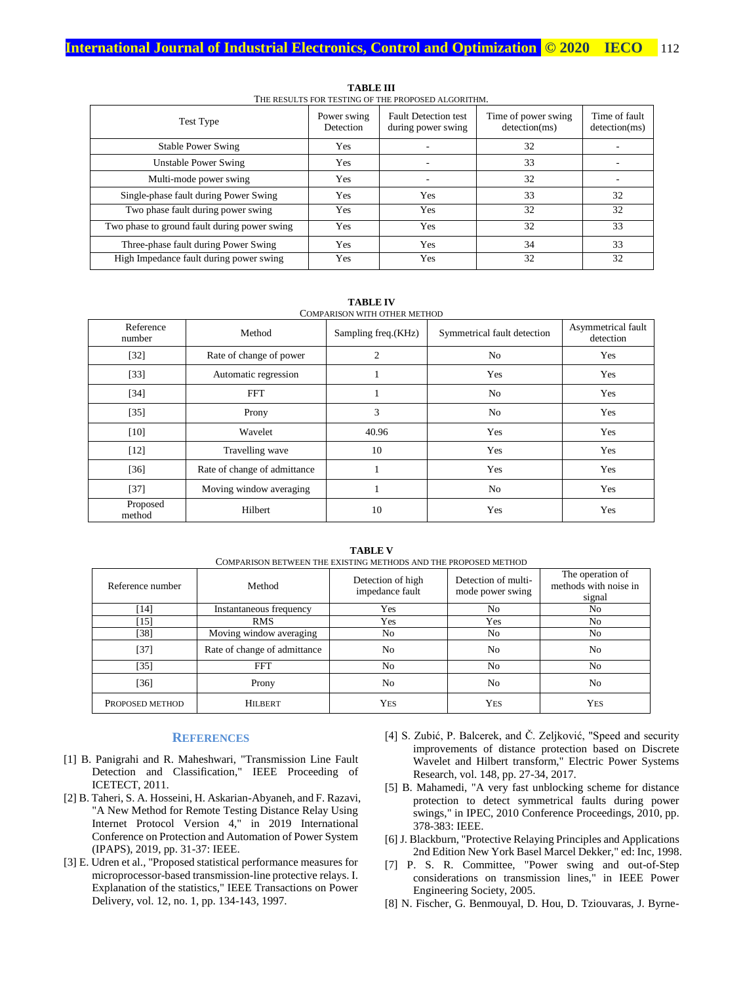| Test Type                                    | Power swing<br>Detection | <b>Fault Detection test</b><br>during power swing | Time of power swing<br>detection(ms) | Time of fault<br>detection(ms) |
|----------------------------------------------|--------------------------|---------------------------------------------------|--------------------------------------|--------------------------------|
| <b>Stable Power Swing</b>                    | Yes                      |                                                   | 32                                   |                                |
| <b>Unstable Power Swing</b>                  | Yes                      |                                                   | 33                                   |                                |
| Multi-mode power swing                       | Yes                      |                                                   | 32                                   |                                |
| Single-phase fault during Power Swing        | Yes                      | <b>Yes</b>                                        | 33                                   | 32                             |
| Two phase fault during power swing           | Yes                      | Yes                                               | 32                                   | 32                             |
| Two phase to ground fault during power swing | Yes                      | Yes                                               | 32                                   | 33                             |
| Three-phase fault during Power Swing         | Yes                      | Yes                                               | 34                                   | 33                             |
| High Impedance fault during power swing      | Yes                      | Yes                                               | 32                                   | 32                             |

**TABLE III** THE RESULTS FOR TESTING OF THE PROPOSED ALGORITHM.

| COMPARISON WITH OTHER METHOD |                              |                     |                             |                                 |  |
|------------------------------|------------------------------|---------------------|-----------------------------|---------------------------------|--|
| Reference<br>number          | Method                       | Sampling freq.(KHz) | Symmetrical fault detection | Asymmetrical fault<br>detection |  |
| $[32]$                       | Rate of change of power      | $\overline{2}$      | N <sub>o</sub>              | Yes                             |  |
| $[33]$                       | Automatic regression         |                     | Yes                         | Yes                             |  |
| [34]                         | <b>FFT</b>                   |                     | N <sub>o</sub>              | Yes                             |  |
| $[35]$                       | Prony                        | 3                   | N <sub>o</sub>              | Yes                             |  |
| $[10]$                       | Wavelet                      | 40.96               | Yes                         | Yes                             |  |
| $[12]$                       | Travelling wave              | 10                  | Yes                         | Yes                             |  |
| $[36]$                       | Rate of change of admittance |                     | Yes                         | Yes                             |  |
| $[37]$                       | Moving window averaging      |                     | N <sub>o</sub>              | Yes                             |  |
| Proposed<br>method           | Hilbert                      | 10                  | Yes                         | Yes                             |  |

**TABLE IV** COMPARISON WITH OTHER METHOD

| COMPARISON BETWEEN THE EXISTING METHODS AND THE PROPOSED METHOD |                              |                                      |                                         |                                                     |  |  |
|-----------------------------------------------------------------|------------------------------|--------------------------------------|-----------------------------------------|-----------------------------------------------------|--|--|
| Reference number                                                | Method                       | Detection of high<br>impedance fault | Detection of multi-<br>mode power swing | The operation of<br>methods with noise in<br>signal |  |  |
| [14]                                                            | Instantaneous frequency      | Yes                                  | N <sub>o</sub>                          | No                                                  |  |  |
| [15]                                                            | <b>RMS</b>                   | Yes                                  | Yes                                     | No                                                  |  |  |
| $[38]$                                                          | Moving window averaging      | No                                   | N <sub>o</sub>                          | N <sub>o</sub>                                      |  |  |
| $[37]$                                                          | Rate of change of admittance | No                                   | N <sub>0</sub>                          | N <sub>o</sub>                                      |  |  |
| $[35]$                                                          | <b>FFT</b>                   | No                                   | N <sub>o</sub>                          | No                                                  |  |  |
| $[36]$                                                          | Prony                        | N <sub>0</sub>                       | No.                                     | N <sub>o</sub>                                      |  |  |
| PROPOSED METHOD                                                 | <b>HILBERT</b>               | YES                                  | <b>YES</b>                              | <b>YES</b>                                          |  |  |

**TABLE V**

#### **REFERENCES**

- [1] B. Panigrahi and R. Maheshwari, "Transmission Line Fault Detection and Classification," IEEE Proceeding of ICETECT, 2011.
- [2] B. Taheri, S. A. Hosseini, H. Askarian-Abyaneh, and F. Razavi, "A New Method for Remote Testing Distance Relay Using Internet Protocol Version 4," in 2019 International Conference on Protection and Automation of Power System (IPAPS), 2019, pp. 31-37: IEEE.
- [3] E. Udren et al., "Proposed statistical performance measures for microprocessor-based transmission-line protective relays. I. Explanation of the statistics," IEEE Transactions on Power Delivery, vol. 12, no. 1, pp. 134-143, 1997.
- [4] S. Zubić, P. Balcerek, and Č. Zeljković, "Speed and security improvements of distance protection based on Discrete Wavelet and Hilbert transform," Electric Power Systems Research, vol. 148, pp. 27-34, 2017.
- [5] B. Mahamedi, "A very fast unblocking scheme for distance protection to detect symmetrical faults during power swings," in IPEC, 2010 Conference Proceedings, 2010, pp. 378-383: IEEE.
- [6] J. Blackburn, "Protective Relaying Principles and Applications 2nd Edition New York Basel Marcel Dekker," ed: Inc, 1998.
- [7] P. S. R. Committee, "Power swing and out-of-Step considerations on transmission lines," in IEEE Power Engineering Society, 2005.
- [8] N. Fischer, G. Benmouyal, D. Hou, D. Tziouvaras, J. Byrne-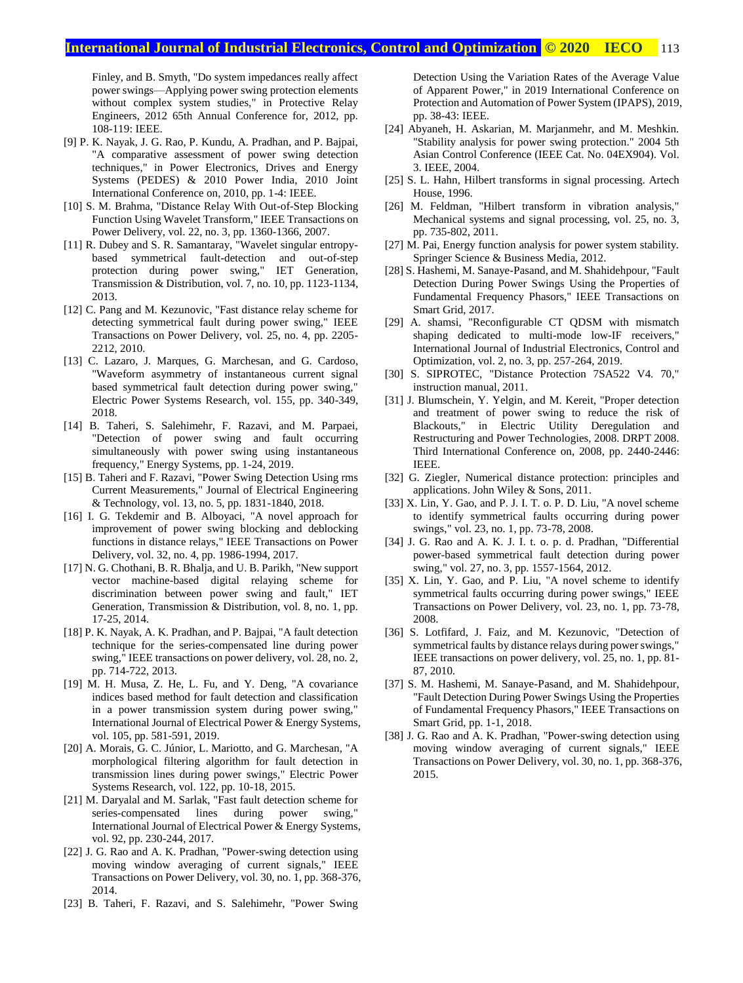Finley, and B. Smyth, "Do system impedances really affect power swings—Applying power swing protection elements without complex system studies," in Protective Relay Engineers, 2012 65th Annual Conference for, 2012, pp. 108-119: IEEE.

- [9] P. K. Nayak, J. G. Rao, P. Kundu, A. Pradhan, and P. Bajpai, "A comparative assessment of power swing detection techniques," in Power Electronics, Drives and Energy Systems (PEDES) & 2010 Power India, 2010 Joint International Conference on, 2010, pp. 1-4: IEEE.
- [10] S. M. Brahma, "Distance Relay With Out-of-Step Blocking Function Using Wavelet Transform," IEEE Transactions on Power Delivery, vol. 22, no. 3, pp. 1360-1366, 2007.
- [11] R. Dubey and S. R. Samantaray, "Wavelet singular entropybased symmetrical fault-detection and out-of-step protection during power swing," IET Generation, Transmission & Distribution, vol. 7, no. 10, pp. 1123-1134, 2013.
- [12] C. Pang and M. Kezunovic, "Fast distance relay scheme for detecting symmetrical fault during power swing," IEEE Transactions on Power Delivery, vol. 25, no. 4, pp. 2205- 2212, 2010.
- [13] C. Lazaro, J. Marques, G. Marchesan, and G. Cardoso, "Waveform asymmetry of instantaneous current signal based symmetrical fault detection during power swing," Electric Power Systems Research, vol. 155, pp. 340-349, 2018.
- [14] B. Taheri, S. Salehimehr, F. Razavi, and M. Parpaei, "Detection of power swing and fault occurring simultaneously with power swing using instantaneous frequency," Energy Systems, pp. 1-24, 2019.
- [15] B. Taheri and F. Razavi, "Power Swing Detection Using rms Current Measurements," Journal of Electrical Engineering & Technology, vol. 13, no. 5, pp. 1831-1840, 2018.
- [16] I. G. Tekdemir and B. Alboyaci, "A novel approach for improvement of power swing blocking and deblocking functions in distance relays," IEEE Transactions on Power Delivery, vol. 32, no. 4, pp. 1986-1994, 2017.
- [17] N. G. Chothani, B. R. Bhalja, and U. B. Parikh, "New support vector machine-based digital relaying scheme for discrimination between power swing and fault," IET Generation, Transmission & Distribution, vol. 8, no. 1, pp. 17-25, 2014.
- [18] P. K. Nayak, A. K. Pradhan, and P. Bajpai, "A fault detection technique for the series-compensated line during power swing," IEEE transactions on power delivery, vol. 28, no. 2, pp. 714-722, 2013.
- [19] M. H. Musa, Z. He, L. Fu, and Y. Deng, "A covariance indices based method for fault detection and classification in a power transmission system during power swing," International Journal of Electrical Power & Energy Systems, vol. 105, pp. 581-591, 2019.
- [20] A. Morais, G. C. Júnior, L. Mariotto, and G. Marchesan, "A morphological filtering algorithm for fault detection in transmission lines during power swings," Electric Power Systems Research, vol. 122, pp. 10-18, 2015.
- [21] M. Daryalal and M. Sarlak, "Fast fault detection scheme for series-compensated lines during power swing," International Journal of Electrical Power & Energy Systems, vol. 92, pp. 230-244, 2017.
- [22] J. G. Rao and A. K. Pradhan, "Power-swing detection using moving window averaging of current signals," IEEE Transactions on Power Delivery, vol. 30, no. 1, pp. 368-376, 2014.
- [23] B. Taheri, F. Razavi, and S. Salehimehr, "Power Swing

Detection Using the Variation Rates of the Average Value of Apparent Power," in 2019 International Conference on Protection and Automation of Power System (IPAPS), 2019, pp. 38-43: IEEE.

- [24] Abyaneh, H. Askarian, M. Marjanmehr, and M. Meshkin. "Stability analysis for power swing protection." 2004 5th Asian Control Conference (IEEE Cat. No. 04EX904). Vol. 3. IEEE, 2004.
- [25] S. L. Hahn, Hilbert transforms in signal processing. Artech House, 1996.
- [26] M. Feldman, "Hilbert transform in vibration analysis," Mechanical systems and signal processing, vol. 25, no. 3, pp. 735-802, 2011.
- [27] M. Pai, Energy function analysis for power system stability. Springer Science & Business Media, 2012.
- [28] S. Hashemi, M. Sanaye-Pasand, and M. Shahidehpour, "Fault Detection During Power Swings Using the Properties of Fundamental Frequency Phasors," IEEE Transactions on Smart Grid, 2017.
- [29] A. shamsi, "Reconfigurable CT QDSM with mismatch shaping dedicated to multi-mode low-IF receivers," International Journal of Industrial Electronics, Control and Optimization, vol. 2, no. 3, pp. 257-264, 2019.
- [30] S. SIPROTEC, "Distance Protection 7SA522 V4. 70," instruction manual, 2011.
- [31] J. Blumschein, Y. Yelgin, and M. Kereit, "Proper detection and treatment of power swing to reduce the risk of Blackouts," in Electric Utility Deregulation and Restructuring and Power Technologies, 2008. DRPT 2008. Third International Conference on, 2008, pp. 2440-2446: IEEE.
- [32] G. Ziegler, Numerical distance protection: principles and applications. John Wiley & Sons, 2011.
- [33] X. Lin, Y. Gao, and P. J. I. T. o. P. D. Liu, "A novel scheme to identify symmetrical faults occurring during power swings," vol. 23, no. 1, pp. 73-78, 2008.
- [34] J. G. Rao and A. K. J. I. t. o. p. d. Pradhan, "Differential power-based symmetrical fault detection during power swing," vol. 27, no. 3, pp. 1557-1564, 2012.
- [35] X. Lin, Y. Gao, and P. Liu, "A novel scheme to identify symmetrical faults occurring during power swings," IEEE Transactions on Power Delivery, vol. 23, no. 1, pp. 73-78, 2008.
- [36] S. Lotfifard, J. Faiz, and M. Kezunovic, "Detection of symmetrical faults by distance relays during power swings," IEEE transactions on power delivery, vol. 25, no. 1, pp. 81- 87, 2010.
- [37] S. M. Hashemi, M. Sanaye-Pasand, and M. Shahidehpour, "Fault Detection During Power Swings Using the Properties of Fundamental Frequency Phasors," IEEE Transactions on Smart Grid, pp. 1-1, 2018.
- [38] J. G. Rao and A. K. Pradhan, "Power-swing detection using moving window averaging of current signals," IEEE Transactions on Power Delivery, vol. 30, no. 1, pp. 368-376, 2015.